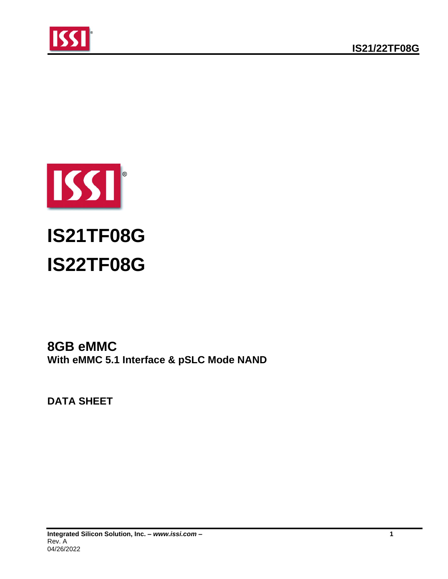





# **8GB eMMC With eMMC 5.1 Interface & pSLC Mode NAND**

**DATA SHEET**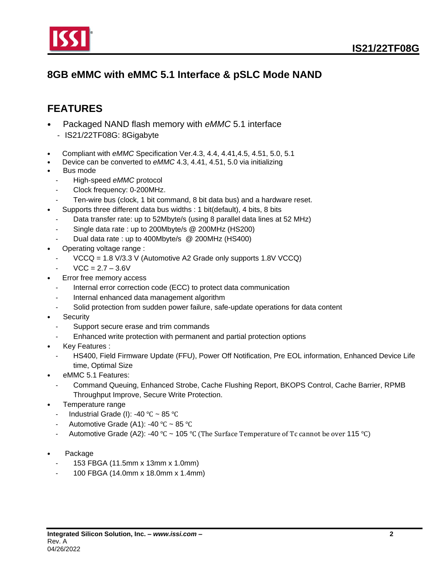

# **8GB eMMC with eMMC 5.1 Interface & pSLC Mode NAND**

# <span id="page-1-0"></span>**FEATURES**

- Packaged NAND flash memory with *eMMC* 5.1 interface
	- IS21/22TF08G: 8Gigabyte
- Compliant with *eMMC* Specification Ver.4.3, 4.4, 4.41,4.5, 4.51, 5.0, 5.1
- Device can be converted to *eMMC* 4.3, 4.41, 4.51, 5.0 via initializing
- Bus mode
	- High-speed *eMMC* protocol
	- Clock frequency: 0-200MHz.
	- Ten-wire bus (clock, 1 bit command, 8 bit data bus) and a hardware reset.
- Supports three different data bus widths : 1 bit(default), 4 bits, 8 bits
	- Data transfer rate: up to 52Mbyte/s (using 8 parallel data lines at 52 MHz)
	- Single data rate : up to 200Mbyte/s @ 200MHz (HS200)
	- Dual data rate : up to 400Mbyte/s @ 200MHz (HS400)
- Operating voltage range :
	- VCCQ = 1.8 V/3.3 V (Automotive A2 Grade only supports 1.8V VCCQ)
	- $VCC = 2.7 3.6V$
- Error free memory access
	- Internal error correction code (ECC) to protect data communication
	- Internal enhanced data management algorithm
	- Solid protection from sudden power failure, safe-update operations for data content
- **Security** 
	- Support secure erase and trim commands
	- Enhanced write protection with permanent and partial protection options
- Key Features :
	- HS400, Field Firmware Update (FFU), Power Off Notification, Pre EOL information, Enhanced Device Life time, Optimal Size
- eMMC 5.1 Features:
	- Command Queuing, Enhanced Strobe, Cache Flushing Report, BKOPS Control, Cache Barrier, RPMB Throughput Improve, Secure Write Protection.
- Temperature range
	- Industrial Grade (I): -40 °C ~ 85 °C
	- Automotive Grade (A1): -40 °C ~ 85 °C
	- Automotive Grade (A2): -40 ℃ ~ 105 ℃ (The Surface Temperature of Tc cannot be over 115 ℃)
- Package
	- 153 FBGA (11.5mm x 13mm x 1.0mm)
	- 100 FBGA (14.0mm x 18.0mm x 1.4mm)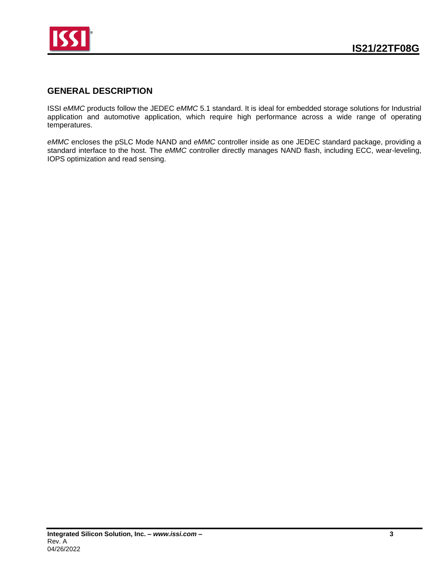

### <span id="page-2-0"></span>**GENERAL DESCRIPTION**

ISSI *eMMC* products follow the JEDEC *eMMC* 5.1 standard. It is ideal for embedded storage solutions for Industrial application and automotive application, which require high performance across a wide range of operating temperatures.

*eMMC* encloses the pSLC Mode NAND and *eMMC* controller inside as one JEDEC standard package, providing a standard interface to the host. The *eMMC* controller directly manages NAND flash, including ECC, wear-leveling, IOPS optimization and read sensing.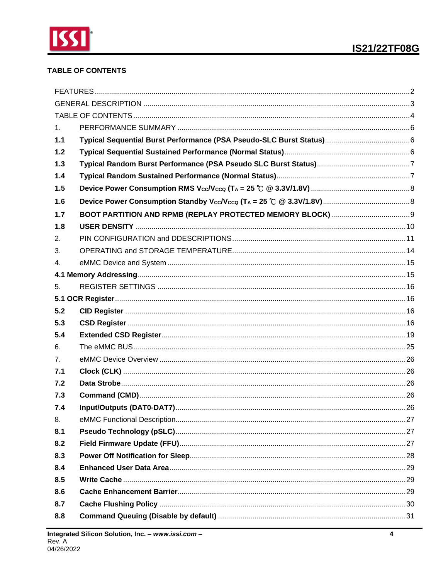

### <span id="page-3-0"></span>**TABLE OF CONTENTS**

| 1 <sub>1</sub> |  |
|----------------|--|
| 1.1            |  |
| $1.2$          |  |
| 1.3            |  |
| 1.4            |  |
| 1.5            |  |
| 1.6            |  |
| 1.7            |  |
| 1.8            |  |
| 2.             |  |
| 3.             |  |
| 4.             |  |
|                |  |
| 5.             |  |
|                |  |
| 5.2            |  |
| 5.3            |  |
| 5.4            |  |
| 6.             |  |
| 7 <sub>1</sub> |  |
| 7.1            |  |
| 7.2            |  |
| 7.3            |  |
| 7.4            |  |
| 8.             |  |
| 8.1            |  |
| 8.2            |  |
| 8.3            |  |
| 8.4            |  |
| 8.5            |  |
| 8.6            |  |
| 8.7            |  |
| 8.8            |  |
|                |  |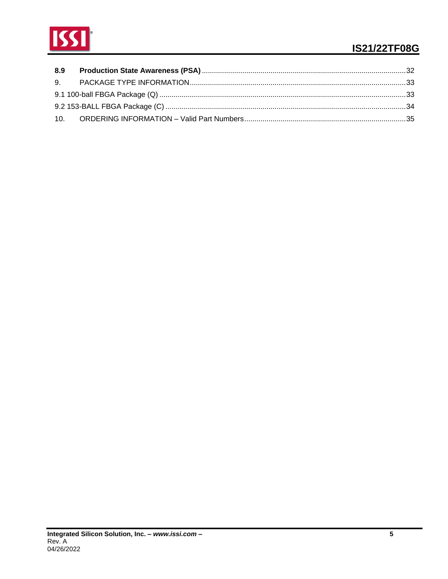

# **IS21/22TF08G**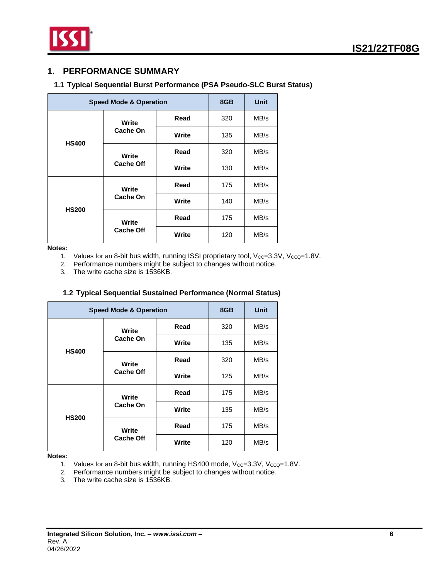

### <span id="page-5-0"></span>**1. PERFORMANCE SUMMARY**

### <span id="page-5-1"></span>**1.1 Typical Sequential Burst Performance (PSA Pseudo-SLC Burst Status)**

| <b>Speed Mode &amp; Operation</b> |                           |       | 8GB | <b>Unit</b> |
|-----------------------------------|---------------------------|-------|-----|-------------|
|                                   | Write                     | Read  | 320 | MB/s        |
| <b>HS400</b>                      | <b>Cache On</b><br>Write  |       | 135 | MB/s        |
|                                   | Write<br><b>Cache Off</b> | Read  | 320 | MB/s        |
|                                   |                           | Write | 130 | MB/s        |
|                                   | Write<br><b>Cache On</b>  | Read  | 175 | MB/s        |
|                                   |                           | Write | 140 | MB/s        |
| <b>HS200</b>                      | Write                     | Read  | 175 | MB/s        |
| <b>Cache Off</b>                  |                           | Write | 120 | MB/s        |

**Notes:**

1. Values for an 8-bit bus width, running ISSI proprietary tool,  $V_{CC}=3.3V$ ,  $V_{CCQ}=1.8V$ .

2. Performance numbers might be subject to changes without notice.

3. The write cache size is 1536KB.

#### **1.2 Typical Sequential Sustained Performance (Normal Status)**

<span id="page-5-2"></span>

| <b>Speed Mode &amp; Operation</b> |                                                |       | 8GB | <b>Unit</b> |
|-----------------------------------|------------------------------------------------|-------|-----|-------------|
|                                   | Write<br>Cache On<br>Write<br><b>Cache Off</b> | Read  | 320 | MB/s        |
|                                   |                                                | Write | 135 | MB/s        |
| <b>HS400</b>                      |                                                | Read  | 320 | MB/s        |
|                                   |                                                | Write | 125 | MB/s        |
|                                   | Write<br>Cache On                              | Read  | 175 | MB/s        |
|                                   |                                                | Write | 135 | MB/s        |
| <b>HS200</b>                      | Write<br><b>Cache Off</b>                      | Read  | 175 | MB/s        |
|                                   |                                                | Write | 120 | MB/s        |

**Notes:**

1. Values for an 8-bit bus width, running HS400 mode,  $V_{CC}=3.3V$ ,  $V_{CCQ}=1.8V$ .

2. Performance numbers might be subject to changes without notice.

3. The write cache size is 1536KB.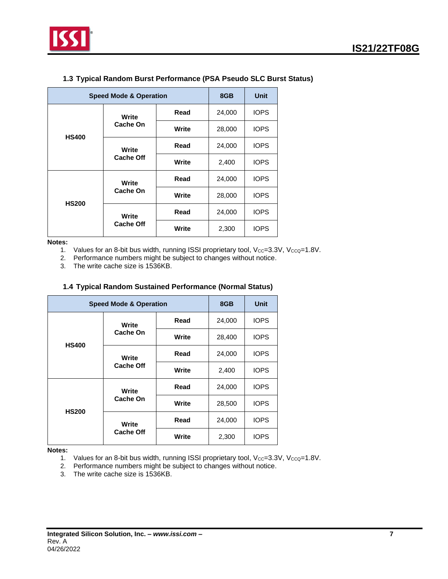

<span id="page-6-0"></span>

| <b>Speed Mode &amp; Operation</b> |                                                                                                  |        | 8GB         | <b>Unit</b> |
|-----------------------------------|--------------------------------------------------------------------------------------------------|--------|-------------|-------------|
|                                   | Read<br>Write<br>Cache On<br>Write<br><b>HS400</b><br>Read<br>Write<br><b>Cache Off</b><br>Write |        | 24,000      | <b>IOPS</b> |
|                                   |                                                                                                  | 28,000 | <b>IOPS</b> |             |
|                                   |                                                                                                  |        | 24,000      | <b>IOPS</b> |
|                                   |                                                                                                  |        | 2,400       | <b>IOPS</b> |
|                                   | Write                                                                                            | Read   | 24,000      | <b>IOPS</b> |
|                                   | Cache On                                                                                         | Write  | 28,000      | <b>IOPS</b> |
| <b>HS200</b>                      | Write                                                                                            | Read   | 24,000      | <b>IOPS</b> |
| <b>Cache Off</b>                  |                                                                                                  | Write  | 2,300       | <b>IOPS</b> |

### **1.3 Typical Random Burst Performance (PSA Pseudo SLC Burst Status)**

**Notes:**

1. Values for an 8-bit bus width, running ISSI proprietary tool,  $V_{CC}=3.3V$ ,  $V_{CCQ}=1.8V$ .

2. Performance numbers might be subject to changes without notice.

3. The write cache size is 1536KB.

<span id="page-6-1"></span>

|              | <b>Speed Mode &amp; Operation</b> |       |        | <b>Unit</b> |
|--------------|-----------------------------------|-------|--------|-------------|
|              | Write<br>Cache On                 | Read  | 24,000 | <b>IOPS</b> |
| <b>HS400</b> |                                   | Write | 28,400 | <b>IOPS</b> |
|              | Write<br><b>Cache Off</b>         | Read  | 24,000 | <b>IOPS</b> |
|              |                                   | Write | 2,400  | <b>IOPS</b> |
|              | Write<br>Cache On                 | Read  | 24,000 | <b>IOPS</b> |
|              |                                   | Write | 28,500 | <b>IOPS</b> |
| <b>HS200</b> | Write<br><b>Cache Off</b>         | Read  | 24,000 | <b>IOPS</b> |
|              |                                   | Write | 2,300  | <b>IOPS</b> |

### **1.4 Typical Random Sustained Performance (Normal Status)**

**Notes:**

1. Values for an 8-bit bus width, running ISSI proprietary tool,  $V_{CC}=3.3V$ ,  $V_{CCQ}=1.8V$ .

2. Performance numbers might be subject to changes without notice.

3. The write cache size is 1536KB.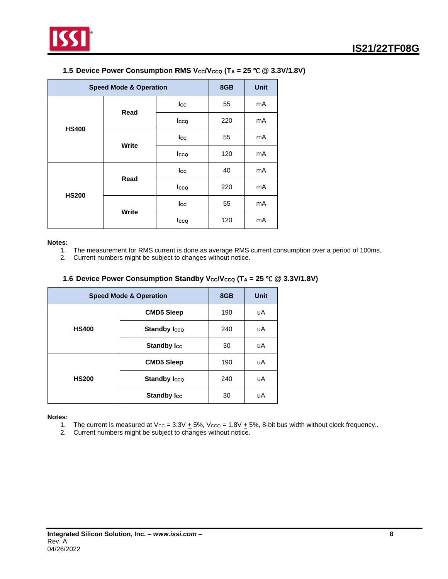

<span id="page-7-0"></span>

| <b>Speed Mode &amp; Operation</b> |       |      | 8GB | <b>Unit</b> |
|-----------------------------------|-------|------|-----|-------------|
|                                   | Read  | Icc  | 55  | mA          |
| <b>HS400</b>                      |       | Icco | 220 | mA          |
|                                   | Write | Icc  | 55  | mA          |
|                                   |       | Icco | 120 | mA          |
|                                   | Read  | Icc  | 40  | mA          |
| <b>HS200</b>                      |       | Icco | 220 | mA          |
|                                   |       | Icc  | 55  | mA          |
|                                   | Write | Icco | 120 | mA          |

#### **1.5 Device Power Consumption RMS**  $V_{CC}V_{CCQ}$  **(T<sub>A</sub> = 25 °C @ 3.3V/1.8V)**

#### **Notes:**

- 1. The measurement for RMS current is done as average RMS current consumption over a period of 100ms.
- 2. Current numbers might be subject to changes without notice.

#### **1.6 Device Power Consumption Standby**  $V_{CC}V_{CCQ}$  **(T<sub>A</sub> = 25 °C @ 3.3V/1.8V)**

<span id="page-7-1"></span>

| <b>Speed Mode &amp; Operation</b> | 8GB                 | Unit |    |
|-----------------------------------|---------------------|------|----|
|                                   | <b>CMD5 Sleep</b>   | 190  | uA |
| <b>HS400</b>                      | <b>Standby Icco</b> | 240  | uA |
|                                   | <b>Standby Icc</b>  | 30   | uA |
|                                   | <b>CMD5 Sleep</b>   | 190  | uA |
| <b>HS200</b>                      | <b>Standby Icco</b> | 240  | uA |
|                                   | <b>Standby Icc</b>  | 30   | uA |

#### **Notes:**

- 1. The current is measured at  $V_{CC} = 3.3V + 5\%$ ,  $V_{CCQ} = 1.8V + 5\%$ , 8-bit bus width without clock frequency..
- 2. Current numbers might be subject to changes without notice.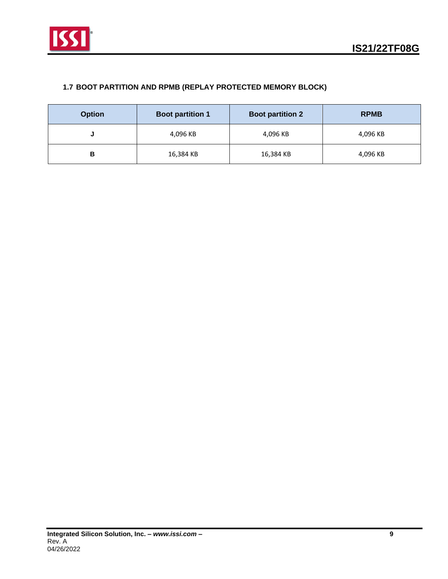

### <span id="page-8-0"></span>**1.7 BOOT PARTITION AND RPMB (REPLAY PROTECTED MEMORY BLOCK)**

| <b>Option</b> | <b>Boot partition 1</b> | <b>Boot partition 2</b> | <b>RPMB</b> |
|---------------|-------------------------|-------------------------|-------------|
| u             | 4,096 KB                | 4,096 KB                | 4,096 KB    |
| В             | 16,384 KB               | 16,384 KB               | 4,096 KB    |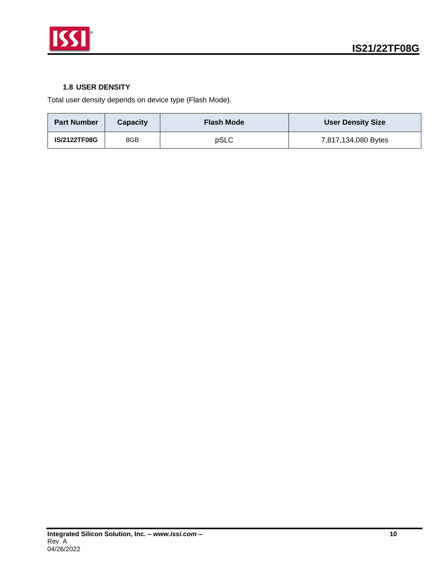

### **1.8 USER DENSITY**

<span id="page-9-0"></span>Total user density depends on device type (Flash Mode).

| <b>Part Number</b>  | <b>Capacity</b> | <b>Flash Mode</b> | <b>User Density Size</b> |
|---------------------|-----------------|-------------------|--------------------------|
| <b>IS/2122TF08G</b> | 8GB             | pSLC              | 7,817,134,080 Bytes      |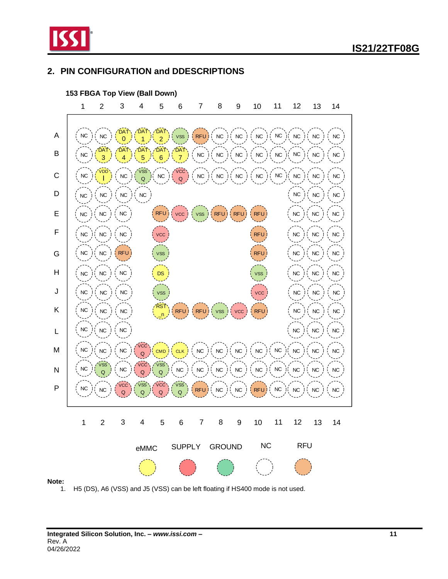

### <span id="page-10-0"></span>**2. PIN CONFIGURATION and DDESCRIPTIONS**



1. H5 (DS), A6 (VSS) and J5 (VSS) can be left floating if HS400 mode is not used.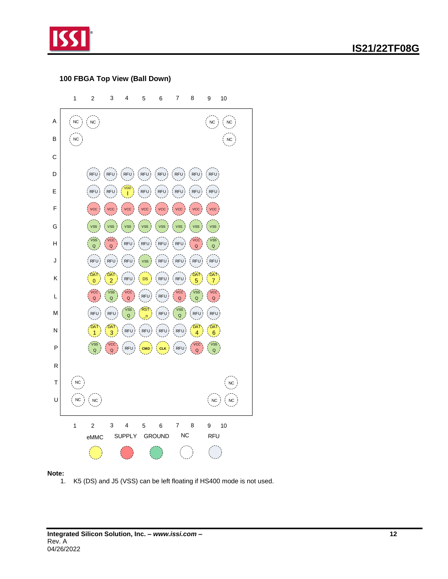

### **100 FBGA Top View (Ball Down)**



#### **Note:**

1. K5 (DS) and J5 (VSS) can be left floating if HS400 mode is not used.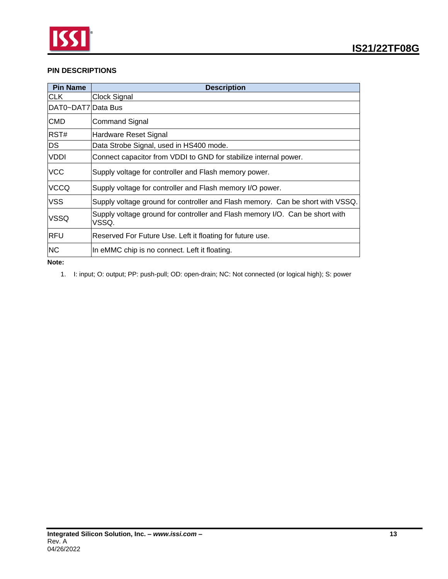

### **PIN DESCRIPTIONS**

| <b>Pin Name</b>    | <b>Description</b>                                                                    |
|--------------------|---------------------------------------------------------------------------------------|
| <b>CLK</b>         | Clock Signal                                                                          |
| DAT0~DAT7 Data Bus |                                                                                       |
| <b>CMD</b>         | <b>Command Signal</b>                                                                 |
| RST#               | Hardware Reset Signal                                                                 |
| <b>DS</b>          | Data Strobe Signal, used in HS400 mode.                                               |
| <b>VDDI</b>        | Connect capacitor from VDDI to GND for stabilize internal power.                      |
| VCC                | Supply voltage for controller and Flash memory power.                                 |
| <b>VCCQ</b>        | Supply voltage for controller and Flash memory I/O power.                             |
| <b>VSS</b>         | Supply voltage ground for controller and Flash memory. Can be short with VSSQ.        |
| VSSQ               | Supply voltage ground for controller and Flash memory I/O. Can be short with<br>VSSQ. |
| <b>RFU</b>         | Reserved For Future Use. Left it floating for future use.                             |
| <b>NC</b>          | In eMMC chip is no connect. Left it floating.                                         |
| Note:              |                                                                                       |

1. I: input; O: output; PP: push-pull; OD: open-drain; NC: Not connected (or logical high); S: power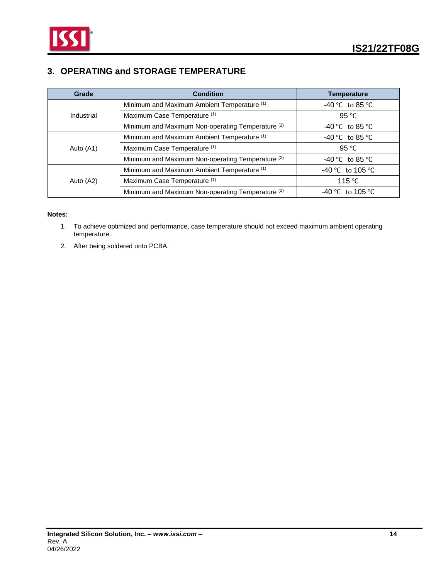

## <span id="page-13-0"></span>**3. OPERATING and STORAGE TEMPERATURE**

| Grade      | <b>Condition</b>                                             | <b>Temperature</b> |
|------------|--------------------------------------------------------------|--------------------|
|            | Minimum and Maximum Ambient Temperature (1)                  | -40 °C to 85 °C    |
| Industrial | Maximum Case Temperature (1)                                 | 95 $\degree$ C     |
|            | Minimum and Maximum Non-operating Temperature <sup>(2)</sup> | $-40$ °C to 85 °C  |
|            | Minimum and Maximum Ambient Temperature (1)                  | $-40$ °C to 85 °C  |
| Auto (A1)  | Maximum Case Temperature (1)                                 | 95 $\degree$ C     |
|            | Minimum and Maximum Non-operating Temperature <sup>(2)</sup> | $-40$ °C to 85 °C  |
|            | Minimum and Maximum Ambient Temperature (1)                  | -40 °C to 105 °C   |
| Auto (A2)  | Maximum Case Temperature (1)                                 | 115 °C             |
|            | Minimum and Maximum Non-operating Temperature <sup>(2)</sup> | -40 °C to 105 °C   |

#### **Notes:**

- 1. To achieve optimized and performance, case temperature should not exceed maximum ambient operating temperature.
- 2. After being soldered onto PCBA.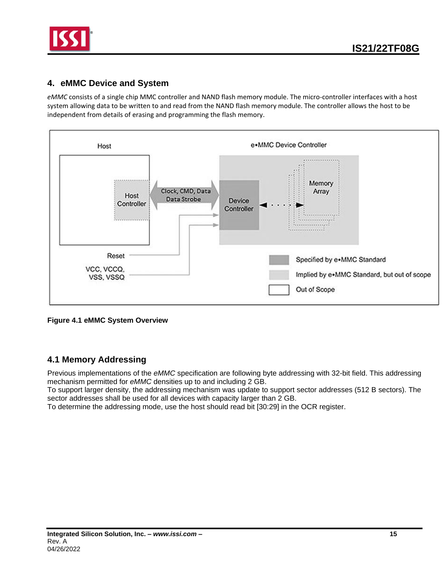

### <span id="page-14-0"></span>**4. eMMC Device and System**

*eMMC* consists of a single chip MMC controller and NAND flash memory module. The micro-controller interfaces with a host system allowing data to be written to and read from the NAND flash memory module. The controller allows the host to be independent from details of erasing and programming the flash memory.



**Figure 4.1 eMMC System Overview**

### <span id="page-14-1"></span>**4.1 Memory Addressing**

Previous implementations of the *eMMC* specification are following byte addressing with 32-bit field. This addressing mechanism permitted for *eMMC* densities up to and including 2 GB.

To support larger density, the addressing mechanism was update to support sector addresses (512 B sectors). The sector addresses shall be used for all devices with capacity larger than 2 GB.

To determine the addressing mode, use the host should read bit [30:29] in the OCR register.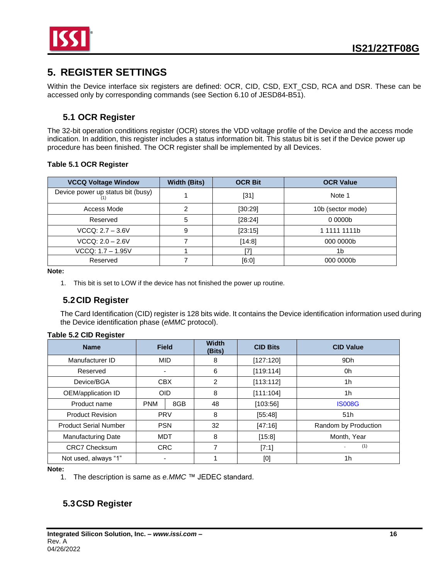

# <span id="page-15-0"></span>**5. REGISTER SETTINGS**

Within the Device interface six registers are defined: OCR, CID, CSD, EXT\_CSD, RCA and DSR. These can be accessed only by corresponding commands (see Section 6.10 of JESD84-B51).

### **5.1 OCR Register**

<span id="page-15-1"></span>The 32-bit operation conditions register (OCR) stores the VDD voltage profile of the Device and the access mode indication. In addition, this register includes a status information bit. This status bit is set if the Device power up procedure has been finished. The OCR register shall be implemented by all Devices.

### **Table 5.1 OCR Register**

| <b>VCCQ Voltage Window</b>        | <b>Width (Bits)</b> | <b>OCR Bit</b> | <b>OCR Value</b>   |
|-----------------------------------|---------------------|----------------|--------------------|
| Device power up status bit (busy) |                     | $[31]$         | Note 1             |
| Access Mode                       |                     | [30:29]        | 10b (sector mode)  |
| Reserved                          | 5                   | [28:24]        | 00000 <sub>b</sub> |
| $VCCQ: 2.7 - 3.6V$                | 9                   | [23:15]        | 1 1111 1111b       |
| $VCCQ: 2.0 - 2.6V$                |                     | [14:8]         | 000 0000b          |
| VCCQ: 1.7 - 1.95V                 |                     |                | 1b                 |
| Reserved                          |                     | [6:0]          | 000 0000b          |

**Note:**

1. This bit is set to LOW if the device has not finished the power up routine.

### <span id="page-15-2"></span>**5.2CID Register**

The Card Identification (CID) register is 128 bits wide. It contains the Device identification information used during the Device identification phase (*eMMC* protocol).

#### **Table 5.2 CID Register**

| <b>Name</b>                  | <b>Field</b> |     | <b>Width</b><br>(Bits) | <b>CID Bits</b> | <b>CID Value</b>     |
|------------------------------|--------------|-----|------------------------|-----------------|----------------------|
| Manufacturer ID              | <b>MID</b>   |     | 8                      | [127:120]       | 9Dh                  |
| Reserved                     |              |     | 6                      | [119:114]       | 0h                   |
| Device/BGA                   | <b>CBX</b>   |     | 2                      | [113:112]       | 1 <sub>h</sub>       |
| OEM/application ID           | <b>OID</b>   |     | 8                      | [111:104]       | 1 <sub>h</sub>       |
| Product name                 | <b>PNM</b>   | 8GB | 48                     | [103:56]        | <b>IS008G</b>        |
| <b>Product Revision</b>      | <b>PRV</b>   |     | 8                      | [55:48]         | 51h                  |
| <b>Product Serial Number</b> | <b>PSN</b>   |     | 32                     | [47:16]         | Random by Production |
| <b>Manufacturing Date</b>    | <b>MDT</b>   |     | 8                      | [15:8]          | Month, Year          |
| <b>CRC7 Checksum</b>         | <b>CRC</b>   |     | 7                      | [7:1]           | (1)                  |
| Not used, always "1"         |              |     |                        | [0]             | 1h                   |

**Note:**

1. The description is same as *e.MMC* ™ JEDEC standard.

## <span id="page-15-3"></span>**5.3CSD Register**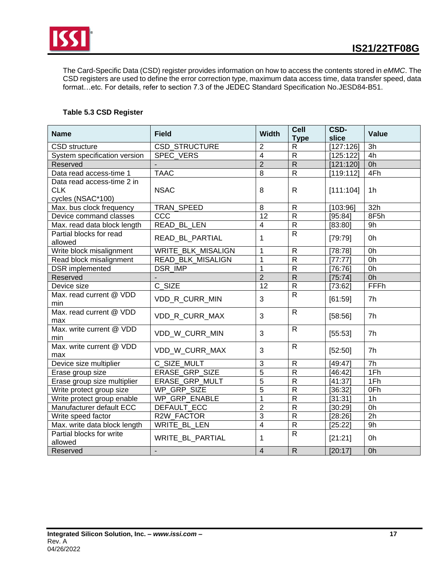

The Card-Specific Data (CSD) register provides information on how to access the contents stored in *eMMC*. The CSD registers are used to define the error correction type, maximum data access time, data transfer speed, data format…etc. For details, refer to section 7.3 of the JEDEC Standard Specification No.JESD84-B51.

### **Table 5.3 CSD Register**

| <b>Name</b>                                                   | <b>Field</b>             | <b>Width</b>   | Cell<br><b>Type</b> | CSD-<br>slice | <b>Value</b>    |
|---------------------------------------------------------------|--------------------------|----------------|---------------------|---------------|-----------------|
| <b>CSD</b> structure                                          | CSD_STRUCTURE            | $\overline{2}$ | $\mathsf{R}$        | [127:126]     | 3h              |
| System specification version                                  | SPEC_VERS                | $\overline{4}$ | $\overline{R}$      | [125:122]     | 4h              |
| Reserved                                                      |                          | $\overline{2}$ | $\overline{R}$      | [121:120]     | 0h              |
| Data read access-time 1                                       | <b>TAAC</b>              | 8              | $\mathsf{R}$        | [119:112]     | 4Fh             |
| Data read access-time 2 in<br><b>CLK</b><br>cycles (NSAC*100) | <b>NSAC</b>              | 8              | $\mathsf{R}$        | [111:104]     | 1 <sub>h</sub>  |
| Max. bus clock frequency                                      | <b>TRAN SPEED</b>        | 8              | $\mathsf{R}$        | [103:96]      | 32h             |
| Device command classes                                        | CCC                      | 12             | $\overline{R}$      | [95:84]       | 8F5h            |
| Max. read data block length                                   | <b>READ BL LEN</b>       | $\overline{4}$ | $\overline{R}$      | [83:80]       | 9h              |
| Partial blocks for read<br>allowed                            | READ_BL_PARTIAL          | 1              | $\mathsf{R}$        | [79:79]       | 0h              |
| Write block misalignment                                      | WRITE_BLK_MISALIGN       | 1              | $\mathsf{R}$        | [78:78]       | 0h              |
| Read block misalignment                                       | <b>READ BLK MISALIGN</b> | $\mathbf 1$    | $\overline{R}$      | [77:77]       | 0h              |
| DSR implemented                                               | DSR IMP                  | 1              | ${\sf R}$           | [76:76]       | 0h              |
| Reserved                                                      |                          | $\overline{2}$ | $\overline{R}$      | [75:74]       | 0h              |
| Device size                                                   | C SIZE                   | 12             | $\overline{R}$      | [73:62]       | FFFh            |
| Max. read current @ VDD<br>min                                | VDD R CURR MIN           | 3              | $\overline{R}$      | [61:59]       | 7h              |
| Max. read current @ VDD<br>max                                | VDD R CURR MAX           | 3              | $\mathsf{R}$        | [58:56]       | 7 <sub>h</sub>  |
| Max. write current @ VDD<br>min                               | VDD W CURR MIN           | 3              | $\mathsf{R}$        | [55:53]       | 7h              |
| Max, write current @ VDD<br>max                               | VDD W CURR MAX           | 3              | $\mathsf{R}$        | [52:50]       | 7h              |
| Device size multiplier                                        | C SIZE MULT              | 3              | $\mathsf{R}$        | [49:47]       | 7h              |
| Erase group size                                              | <b>ERASE GRP SIZE</b>    | $\overline{5}$ | $\overline{R}$      | [46:42]       | 1Fh             |
| Erase group size multiplier                                   | ERASE_GRP_MULT           | $\overline{5}$ | $\overline{R}$      | [41:37]       | 1Fh             |
| Write protect group size                                      | <b>WP GRP SIZE</b>       | $\overline{5}$ | $\overline{R}$      | [36:32]       | 0Fh             |
| Write protect group enable                                    | WP_GRP_ENABLE            | $\mathbf 1$    | $\overline{R}$      | [31:31]       | 1 <sub>h</sub>  |
| Manufacturer default ECC                                      | <b>DEFAULT ECC</b>       | $\overline{2}$ | $\overline{R}$      | [30:29]       | 0h              |
| Write speed factor                                            | <b>R2W FACTOR</b>        | $\overline{3}$ | $\overline{R}$      | [28:26]       | $\overline{2h}$ |
| Max. write data block length                                  | <b>WRITE BL LEN</b>      | $\overline{4}$ | $\overline{R}$      | [25:22]       | 9h              |
| Partial blocks for write<br>allowed                           | WRITE BL PARTIAL         | 1              | $\mathsf{R}$        | [21:21]       | 0h              |
| Reserved                                                      |                          | $\overline{4}$ | $\mathsf{R}$        | [20:17]       | 0h              |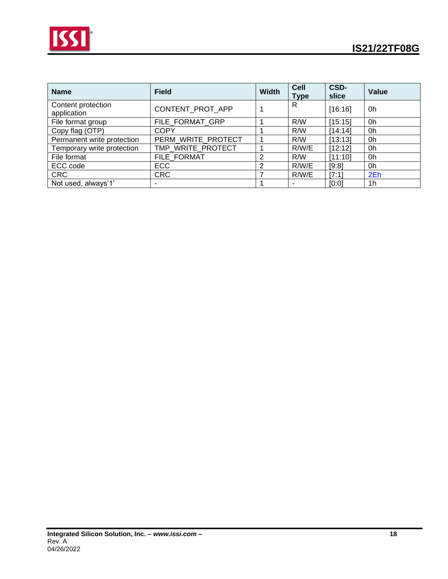

| <b>Name</b>                       | <b>Field</b>       | <b>Width</b> | <b>Cell</b><br><b>Type</b> | CSD-<br>slice | <b>Value</b>   |
|-----------------------------------|--------------------|--------------|----------------------------|---------------|----------------|
| Content protection<br>application | CONTENT PROT APP   |              | R                          | [16:16]       | 0h             |
| File format group                 | FILE FORMAT GRP    |              | R/W                        | [15:15]       | 0h             |
| Copy flag (OTP)                   | <b>COPY</b>        |              | R/W                        | [14:14]       | 0h             |
| Permanent write protection        | PERM_WRITE_PROTECT |              | R/W                        | [13:13]       | 0h             |
| Temporary write protection        | TMP WRITE PROTECT  |              | R/W/E                      | [12:12]       | 0h             |
| File format                       | FILE FORMAT        | 2            | R/W                        | [11:10]       | 0h             |
| ECC code                          | <b>ECC</b>         | 2            | R/W/E                      | [9:8]         | 0h             |
| <b>CRC</b>                        | <b>CRC</b>         |              | R/W/E                      | [7:1]         | 2Eh            |
| Not used, always'1'               |                    |              |                            | [0:0]         | 1 <sub>h</sub> |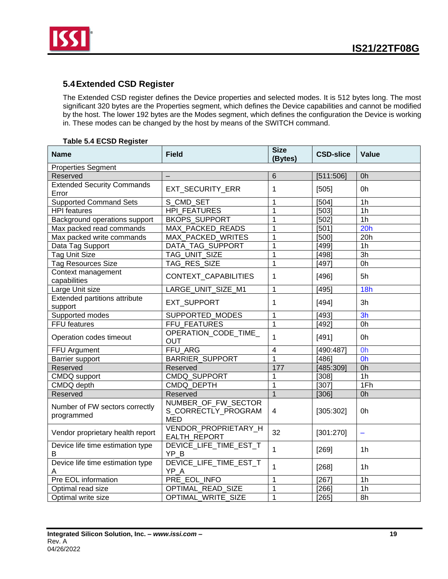

## <span id="page-18-0"></span>**5.4Extended CSD Register**

The Extended CSD register defines the Device properties and selected modes. It is 512 bytes long. The most significant 320 bytes are the Properties segment, which defines the Device capabilities and cannot be modified by the host. The lower 192 bytes are the Modes segment, which defines the configuration the Device is working in. These modes can be changed by the host by means of the SWITCH command.

|  | <b>Table 5.4 ECSD Register</b> |
|--|--------------------------------|
|  |                                |

| <b>Name</b>                                  | <b>Field</b>                                             | <b>Size</b><br>(Bytes) | <b>CSD-slice</b> | Value          |
|----------------------------------------------|----------------------------------------------------------|------------------------|------------------|----------------|
| <b>Properties Segment</b>                    |                                                          |                        |                  |                |
| Reserved                                     |                                                          | 6                      | [511:506]        | 0h             |
| <b>Extended Security Commands</b><br>Error   | <b>EXT SECURITY ERR</b>                                  | 1                      | [505]            | 0h             |
| <b>Supported Command Sets</b>                | S CMD SET                                                | 1                      | [504]            | 1 <sub>h</sub> |
| <b>HPI</b> features                          | <b>HPI FEATURES</b>                                      | 1                      | [503]            | 1 <sub>h</sub> |
| <b>Background operations support</b>         | <b>BKOPS_SUPPORT</b>                                     | 1                      | [502]            | 1 <sub>h</sub> |
| Max packed read commands                     | MAX_PACKED_READS                                         | 1                      | [501]            | 20h            |
| Max packed write commands                    | MAX PACKED WRITES                                        | 1                      | [500]            | 20h            |
| Data Tag Support                             | DATA_TAG_SUPPORT                                         | 1                      | [499]            | 1 <sub>h</sub> |
| <b>Tag Unit Size</b>                         | TAG UNIT SIZE                                            | 1                      | [498]            | 3h             |
| <b>Tag Resources Size</b>                    | TAG RES SIZE                                             | $\mathbf{1}$           | [497]            | 0h             |
| Context management<br>capabilities           | CONTEXT_CAPABILITIES                                     | 1                      | [496]            | 5h             |
| Large Unit size                              | LARGE_UNIT_SIZE_M1                                       | $\mathbf 1$            | [495]            | 18h            |
| Extended partitions attribute<br>support     | EXT_SUPPORT                                              | 1                      | [494]            | 3h             |
| Supported modes                              | SUPPORTED MODES                                          | 1                      | [493]            | 3h             |
| FFU features                                 | FFU FEATURES                                             | $\mathbf{1}$           | [492]            | 0h             |
| Operation codes timeout                      | OPERATION_CODE_TIME_<br><b>OUT</b>                       | $\overline{1}$         | [491]            | 0h             |
| FFU Argument                                 | <b>FFU ARG</b>                                           | 4                      | [490:487]        | Oh             |
| Barrier support                              | <b>BARRIER SUPPORT</b>                                   | 1                      | [486]            | Oh             |
| Reserved                                     | Reserved                                                 | 177                    | [485:309]        | 0h             |
| CMDQ support                                 | CMDQ_SUPPORT                                             | 1                      | [308]            | 1 <sub>h</sub> |
| CMDQ depth                                   | CMDQ DEPTH                                               | $\mathbf{1}$           | [307]            | 1Fh            |
| Reserved                                     | Reserved                                                 | $\overline{1}$         | [306]            | 0h             |
| Number of FW sectors correctly<br>programmed | NUMBER_OF_FW_SECTOR<br>S_CORRECTLY_PROGRAM<br><b>MED</b> | 4                      | [305:302]        | 0h             |
| Vendor proprietary health report             | VENDOR_PROPRIETARY_H<br>EALTH_REPORT                     | 32                     | [301:270]        | $\equiv$       |
| Device life time estimation type<br>B        | DEVICE_LIFE_TIME_EST_T<br>YP B                           | $\mathbf{1}$           | $[269]$          | 1 <sub>h</sub> |
| Device life time estimation type<br>A        | DEVICE LIFE TIME EST T<br>YP_A                           | 1                      | [268]            | 1 <sub>h</sub> |
| Pre EOL information                          | PRE_EOL_INFO                                             | 1                      | [267]            | 1 <sub>h</sub> |
| Optimal read size                            | OPTIMAL READ SIZE                                        | 1                      | [266]            | 1 <sub>h</sub> |
| Optimal write size                           | OPTIMAL_WRITE_SIZE                                       | $\mathbf{1}$           | [265]            | 8h             |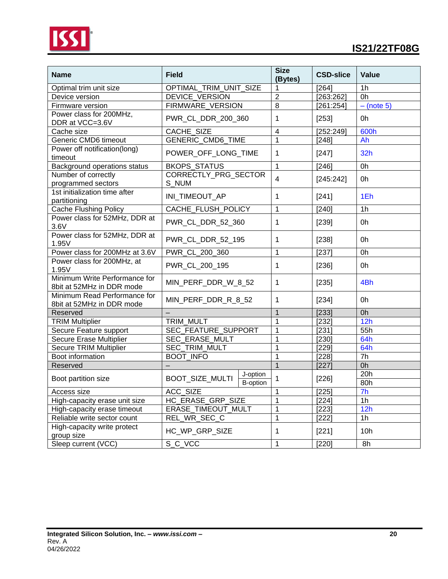

| <b>Name</b>                                                | <b>Field</b>                                   | <b>Size</b><br>(Bytes) | <b>CSD-slice</b> | <b>Value</b>   |
|------------------------------------------------------------|------------------------------------------------|------------------------|------------------|----------------|
| Optimal trim unit size                                     | OPTIMAL_TRIM_UNIT_SIZE                         | 1                      | [264]            | 1 <sub>h</sub> |
| Device version                                             | DEVICE VERSION                                 | $\overline{2}$         | [263:262]        | 0h             |
| Firmware version                                           | FIRMWARE VERSION                               | 8                      | [261:254]        | $-$ (note 5)   |
| Power class for 200MHz,<br>DDR at VCC=3.6V                 | PWR CL DDR 200 360                             | 1                      | [253]            | 0h             |
| Cache size                                                 | CACHE_SIZE                                     | $\overline{4}$         | [252:249]        | 600h           |
| Generic CMD6 timeout                                       | <b>GENERIC CMD6 TIME</b>                       | $\mathbf 1$            | [248]            | Ah             |
| Power off notification(long)<br>timeout                    | POWER_OFF_LONG_TIME                            | 1                      | [247]            | 32h            |
| Background operations status                               | <b>BKOPS_STATUS</b>                            | 1                      | [246]            | 0h             |
| Number of correctly<br>programmed sectors                  | CORRECTLY_PRG_SECTOR<br>S NUM                  | 4                      | [245:242]        | 0h             |
| 1st initialization time after<br>partitioning              | INI_TIMEOUT_AP                                 | 1                      | [241]            | 1Eh            |
| <b>Cache Flushing Policy</b>                               | CACHE_FLUSH_POLICY                             | 1                      | [240]            | 1 <sub>h</sub> |
| Power class for 52MHz, DDR at<br>3.6V                      | PWR_CL_DDR_52_360                              | 1                      | [239]            | 0h             |
| Power class for 52MHz, DDR at<br>1.95V                     | PWR_CL_DDR_52_195                              | 1                      | [238]            | 0h             |
| Power class for 200MHz at 3.6V                             | PWR_CL_200_360                                 | 1                      | [237]            | 0h             |
| Power class for 200MHz, at<br>1.95V                        | PWR_CL_200_195                                 | 1                      | [236]            | 0h             |
| Minimum Write Performance for<br>8bit at 52MHz in DDR mode | MIN_PERF_DDR_W_8_52                            | 1                      | [235]            | 4Bh            |
| Minimum Read Performance for<br>8bit at 52MHz in DDR mode  | MIN_PERF_DDR_R_8_52                            | 1                      | [234]            | 0h             |
| Reserved                                                   |                                                | $\mathbf 1$            | [233]            | 0h             |
| <b>TRIM Multiplier</b>                                     | TRIM MULT                                      | $\mathbf 1$            | [232]            | 12h            |
| Secure Feature support                                     | SEC_FEATURE_SUPPORT                            | $\mathbf 1$            | [231]            | 55h            |
| Secure Erase Multiplier                                    | SEC_ERASE_MULT                                 | $\mathbf 1$            | [230]            | 64h            |
| <b>Secure TRIM Multiplier</b>                              | SEC_TRIM_MULT                                  | $\mathbf 1$            | [229]            | 64h            |
| Boot information                                           | <b>BOOT INFO</b>                               | $\mathbf{1}$           | [228]            | 7h             |
| Reserved                                                   |                                                | $\mathbf{1}$           | [227]            | 0h             |
| Boot partition size                                        | J-option<br>BOOT_SIZE_MULTI<br><b>B-option</b> | 1                      | [226]            | 20h<br>80h     |
| Access size                                                | <b>ACC SIZE</b>                                | $\mathbf{1}$           | [225]            | 7 <sub>h</sub> |
| High-capacity erase unit size                              | HC_ERASE_GRP_SIZE                              | 1                      | [224]            | 1 <sub>h</sub> |
| High-capacity erase timeout                                | ERASE TIMEOUT MULT                             | 1                      | [223]            | 12h            |
| Reliable write sector count                                | REL_WR_SEC_C                                   | 1                      | [222]            | 1 <sub>h</sub> |
| High-capacity write protect<br>group size                  | HC_WP_GRP_SIZE                                 | 1                      | [221]            | 10h            |
| Sleep current (VCC)                                        | S_C_VCC                                        | 1                      | $[220]$          | 8h             |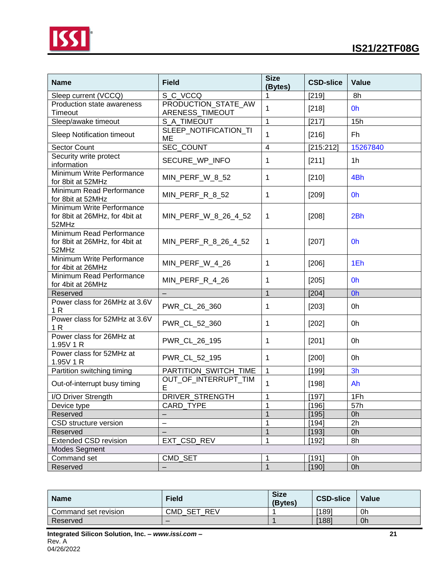



| <b>Name</b>                                                          | <b>Field</b>                           | <b>Size</b><br>(Bytes)  | <b>CSD-slice</b>    | Value           |
|----------------------------------------------------------------------|----------------------------------------|-------------------------|---------------------|-----------------|
| Sleep current (VCCQ)                                                 | S C VCCQ                               | 1                       | [219]               | 8h              |
| <b>Production state awareness</b><br>Timeout                         | PRODUCTION_STATE_AW<br>ARENESS_TIMEOUT | $\mathbf{1}$            | [218]               | 0h              |
| Sleep/awake timeout                                                  | S_A_TIMEOUT                            | $\mathbf{1}$            | [217]               | 15h             |
| <b>Sleep Notification timeout</b>                                    | SLEEP_NOTIFICATION_TI<br>ME            | $\mathbf{1}$            | [216]               | Fh              |
| Sector Count                                                         | SEC_COUNT                              | $\overline{\mathbf{4}}$ | [215:212]           | 15267840        |
| Security write protect<br>information                                | SECURE WP INFO                         | 1                       | [211]               | 1 <sub>h</sub>  |
| Minimum Write Performance<br>for 8bit at 52MHz                       | MIN_PERF_W_8_52                        | $\mathbf{1}$            | [210]               | 4Bh             |
| Minimum Read Performance<br>for 8bit at 52MHz                        | MIN_PERF_R_8_52                        | $\mathbf 1$             | [209]               | 0h              |
| Minimum Write Performance<br>for 8bit at 26MHz, for 4bit at<br>52MHz | MIN_PERF_W_8_26_4_52                   | $\mathbf{1}$            | [208]               | 2Bh             |
| Minimum Read Performance<br>for 8bit at 26MHz, for 4bit at<br>52MHz  | MIN_PERF_R_8_26_4_52                   | 1                       | [207]               | 0h              |
| Minimum Write Performance<br>for 4bit at 26MHz                       | MIN_PERF_W_4_26                        | $\mathbf 1$             | [206]               | 1Eh             |
| Minimum Read Performance<br>for 4bit at 26MHz                        | MIN_PERF_R_4_26                        | 1                       | [205]               | 0h              |
| Reserved                                                             |                                        | $\mathbf{1}$            | [204]               | Oh              |
| Power class for 26MHz at 3.6V<br>1 <sub>R</sub>                      | PWR_CL_26_360                          | 1                       | [203]               | 0h              |
| Power class for 52MHz at 3.6V<br>1 <sub>R</sub>                      | PWR_CL_52_360                          | 1                       | [202]               | 0h              |
| Power class for 26MHz at<br>1.95V 1 R                                | PWR_CL_26_195                          | 1                       | [201]               | 0h              |
| Power class for 52MHz at<br>1.95V 1 R                                | PWR_CL_52_195                          | 1                       | $[200]$             | 0h              |
| Partition switching timing                                           | PARTITION_SWITCH_TIME                  | $\mathbf{1}$            | $[199]$             | 3h              |
| Out-of-interrupt busy timing                                         | OUT_OF_INTERRUPT_TIM<br>Е              | $\mathbf{1}$            | [198]               | Ah              |
| I/O Driver Strength                                                  | <b>DRIVER STRENGTH</b>                 | 1                       | [197]               | 1Fh             |
| Device type                                                          | CARD_TYPE                              | $\mathbf 1$             | [196]               | 57h             |
| Reserved                                                             |                                        | $\overline{1}$          | [195]               | 0h              |
| CSD structure version                                                | $\overline{\phantom{0}}$               | $\mathbf{1}$            | [194]               | $\overline{2h}$ |
| Reserved                                                             |                                        | $\mathbf{1}$            | [193]               | 0h              |
| <b>Extended CSD revision</b>                                         | EXT_CSD_REV                            | $\mathbf{1}$            | $\overline{1}$ 192] | 8h              |
| <b>Modes Segment</b>                                                 |                                        |                         |                     |                 |
| Command set                                                          | CMD_SET                                | $\mathbf 1$             | [191]               | 0h              |
| Reserved                                                             |                                        | $\overline{1}$          | [190]               | 0h              |

| <b>Name</b>          | <b>Field</b>             | <b>Size</b><br>(Bytes) | <b>CSD-slice</b> | Value |
|----------------------|--------------------------|------------------------|------------------|-------|
| Command set revision | <b>CMD</b><br>REV<br>SET |                        | [189]            | 0h    |
| Reserved             | $\overline{\phantom{0}}$ |                        | [188]            | 0h    |
|                      |                          |                        |                  |       |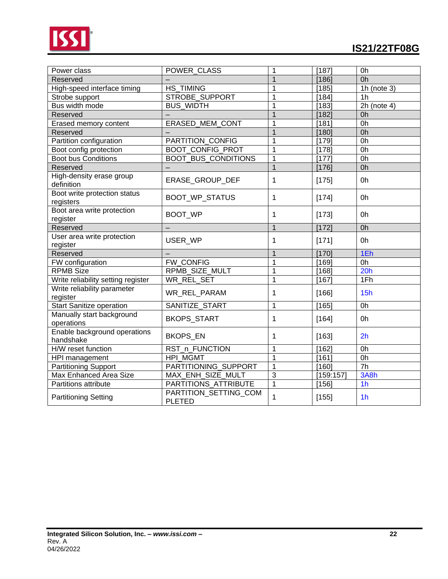

| Power class                               | POWER_CLASS                            | 1              | [187]     | 0h             |
|-------------------------------------------|----------------------------------------|----------------|-----------|----------------|
| Reserved                                  |                                        | 1              | [186]     | 0h             |
| High-speed interface timing               | <b>HS TIMING</b>                       | 1              | [185]     | 1h (note $3)$  |
| Strobe support                            | STROBE_SUPPORT                         | 1              | [184]     | 1 <sub>h</sub> |
| Bus width mode                            | <b>BUS WIDTH</b>                       | 1              | $[183]$   | $2h$ (note 4)  |
| Reserved                                  |                                        | $\overline{1}$ | [182]     | 0h             |
| Erased memory content                     | ERASED_MEM_CONT                        | 1              | [181]     | 0h             |
| Reserved                                  |                                        | $\overline{1}$ | [180]     | 0h             |
| Partition configuration                   | PARTITION_CONFIG                       | 1              | [179]     | 0h             |
| Boot config protection                    | BOOT_CONFIG_PROT                       | $\overline{1}$ | [178]     | 0h             |
| <b>Boot bus Conditions</b>                | <b>BOOT BUS CONDITIONS</b>             | $\mathbf{1}$   | [177]     | 0h             |
| Reserved                                  |                                        | $\mathbf{1}$   | [176]     | 0h             |
| High-density erase group<br>definition    | ERASE_GROUP_DEF                        | 1              | [175]     | 0h             |
| Boot write protection status<br>registers | BOOT_WP_STATUS                         | 1              | [174]     | 0h             |
| Boot area write protection<br>register    | BOOT_WP                                | 1              | [173]     | 0h             |
| Reserved                                  |                                        | $\mathbf{1}$   | [172]     | 0h             |
| User area write protection<br>register    | USER WP                                | 1              | [171]     | 0h             |
| Reserved                                  |                                        | $\mathbf{1}$   | [170]     | 1Eh            |
| FW configuration                          | <b>FW CONFIG</b>                       | 1              | [169]     | 0h             |
| <b>RPMB Size</b>                          | RPMB SIZE MULT                         | 1              | [168]     | 20h            |
| Write reliability setting register        | WR REL SET                             | $\mathbf{1}$   | [167]     | 1Fh            |
| Write reliability parameter<br>register   | WR_REL_PARAM                           | 1              | [166]     | 15h            |
| <b>Start Sanitize operation</b>           | SANITIZE_START                         | $\mathbf{1}$   | [165]     | 0h             |
| Manually start background<br>operations   | BKOPS_START                            | 1              | [164]     | 0h             |
| Enable background operations<br>handshake | BKOPS_EN                               | 1              | [163]     | 2 <sub>h</sub> |
| H/W reset function                        | RST_n_FUNCTION                         | 1              | [162]     | 0h             |
| HPI management                            | <b>HPI MGMT</b>                        | 1              | [161]     | 0h             |
| <b>Partitioning Support</b>               | PARTITIONING_SUPPORT                   | 1              | [160]     | 7h             |
| Max Enhanced Area Size                    | MAX_ENH_SIZE_MULT                      | 3              | [159:157] | 3A8h           |
| Partitions attribute                      | PARTITIONS_ATTRIBUTE                   | $\overline{1}$ | [156]     | 1 <sub>h</sub> |
| <b>Partitioning Setting</b>               | PARTITION_SETTING_COM<br><b>PLETED</b> | $\mathbf{1}$   | [155]     | 1 <sub>h</sub> |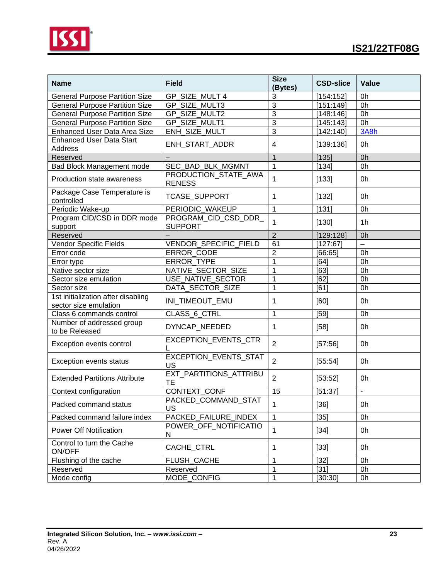



| <b>Name</b>                                                 | <b>Field</b>                               | <b>Size</b><br>(Bytes) | <b>CSD-slice</b> | Value          |
|-------------------------------------------------------------|--------------------------------------------|------------------------|------------------|----------------|
| <b>General Purpose Partition Size</b>                       | GP SIZE MULT 4                             | 3                      | [154:152]        | 0h             |
| <b>General Purpose Partition Size</b>                       | GP SIZE MULT3                              | 3                      | [151:149]        | 0h             |
| <b>General Purpose Partition Size</b>                       | GP SIZE MULT2                              | $\overline{3}$         | [148:146]        | 0h             |
| <b>General Purpose Partition Size</b>                       | GP_SIZE_MULT1                              | $\overline{3}$         | [145:143]        | 0h             |
| <b>Enhanced User Data Area Size</b>                         | ENH_SIZE_MULT                              | $\overline{3}$         | [142:140]        | 3A8h           |
| <b>Enhanced User Data Start</b><br>Address                  | ENH_START_ADDR                             | 4                      | [139:136]        | 0h             |
| Reserved                                                    |                                            | $\mathbf{1}$           | [135]            | 0h             |
| Bad Block Management mode                                   | SEC_BAD_BLK_MGMNT                          | 1                      | [134]            | 0h             |
| Production state awareness                                  | PRODUCTION_STATE_AWA<br><b>RENESS</b>      | $\mathbf{1}$           | [133]            | 0h             |
| Package Case Temperature is<br>controlled                   | <b>TCASE_SUPPORT</b>                       | 1                      | [132]            | 0h             |
| Periodic Wake-up                                            | PERIODIC WAKEUP                            | $\mathbf{1}$           | [131]            | 0h             |
| Program CID/CSD in DDR mode<br>support                      | PROGRAM_CID_CSD_DDR_<br><b>SUPPORT</b>     | $\mathbf{1}$           | [130]            | 1 <sub>h</sub> |
| Reserved                                                    |                                            | $\overline{2}$         | [129:128]        | 0h             |
| <b>Vendor Specific Fields</b>                               | <b>VENDOR SPECIFIC FIELD</b>               | 61                     | [127:67]         | $\equiv$       |
| Error code                                                  | <b>ERROR CODE</b>                          | $\overline{2}$         | [66:65]          | 0h             |
| Error type                                                  | <b>ERROR TYPE</b>                          | 1                      | [64]             | 0h             |
| Native sector size                                          | NATIVE_SECTOR_SIZE                         | 1                      | [63]             | 0h             |
| Sector size emulation                                       | USE NATIVE SECTOR                          | 1                      | [62]             | 0h             |
| Sector size                                                 | DATA_SECTOR_SIZE                           | 1                      | [61]             | 0h             |
| 1st initialization after disabling<br>sector size emulation | INI_TIMEOUT_EMU                            | 1                      | [60]             | 0h             |
| Class 6 commands control                                    | CLASS_6_CTRL                               | 1                      | [59]             | 0h             |
| Number of addressed group<br>to be Released                 | DYNCAP_NEEDED                              | 1                      | $[58]$           | 0h             |
| Exception events control                                    | EXCEPTION_EVENTS_CTR                       | $\overline{2}$         | [57:56]          | 0h             |
| Exception events status                                     | EXCEPTION_EVENTS_STAT<br>US                | $\overline{2}$         | [55:54]          | 0h             |
| <b>Extended Partitions Attribute</b>                        | <b>EXT PARTITIONS ATTRIBU</b><br><b>TE</b> | $\overline{2}$         | [53:52]          | 0h             |
| Context configuration                                       | CONTEXT CONF                               | 15                     | [51:37]          | $\mathbf{r}$   |
| Packed command status                                       | PACKED_COMMAND_STAT<br>US                  | $\mathbf{1}$           | $[36]$           | 0h             |
| Packed command failure index                                | PACKED FAILURE INDEX                       | 1                      | $[35]$           | 0h             |
| <b>Power Off Notification</b>                               | POWER OFF NOTIFICATIO<br>N                 | $\mathbf{1}$           | $[34]$           | 0h             |
| Control to turn the Cache<br>ON/OFF                         | CACHE_CTRL                                 | 1                      | $[33]$           | 0h             |
| Flushing of the cache                                       | FLUSH CACHE                                | 1                      | $[32]$           | 0h             |
| Reserved                                                    | Reserved                                   | 1                      | $[31]$           | 0h             |
| Mode config                                                 | MODE_CONFIG                                | 1                      | [30:30]          | 0h             |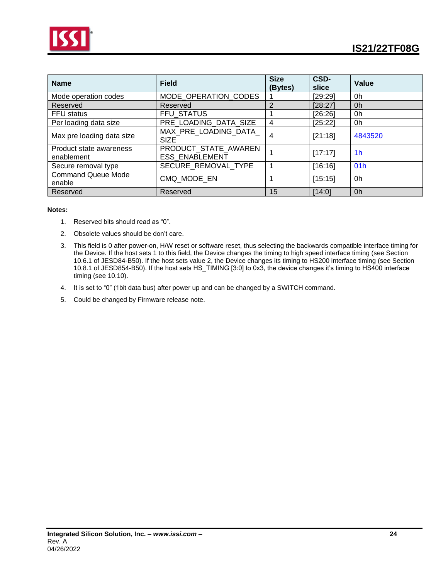



| <b>Name</b>                           | <b>Field</b>                                  | <b>Size</b><br>(Bytes) | CSD-<br>slice | Value          |
|---------------------------------------|-----------------------------------------------|------------------------|---------------|----------------|
| Mode operation codes                  | MODE OPERATION CODES                          |                        | [29:29]       | 0h             |
| Reserved                              | Reserved                                      | $\overline{2}$         | [28:27]       | 0h             |
| <b>FFU</b> status                     | FFU STATUS                                    |                        | [26:26]       | 0h             |
| Per loading data size                 | PRE_LOADING_DATA_SIZE                         | $\overline{4}$         | [25:22]       | 0h             |
| Max pre loading data size             | MAX_PRE_LOADING_DATA_<br><b>SIZE</b>          | 4                      | [21:18]       | 4843520        |
| Product state awareness<br>enablement | PRODUCT STATE AWAREN<br><b>ESS ENABLEMENT</b> |                        | [17:17]       | 1 <sub>h</sub> |
| Secure removal type                   | SECURE REMOVAL TYPE                           |                        | [16:16]       | 01h            |
| <b>Command Queue Mode</b><br>enable   | CMQ MODE EN                                   |                        | [15:15]       | 0h             |
| Reserved                              | Reserved                                      | 15                     | [14:0]        | 0h             |

#### **Notes:**

- 1. Reserved bits should read as "0".
- 2. Obsolete values should be don't care.
- 3. This field is 0 after power-on, H/W reset or software reset, thus selecting the backwards compatible interface timing for the Device. If the host sets 1 to this field, the Device changes the timing to high speed interface timing (see Section 10.6.1 of JESD84-B50). If the host sets value 2, the Device changes its timing to HS200 interface timing (see Section 10.8.1 of JESD854-B50). If the host sets HS\_TIMING [3:0] to 0x3, the device changes it's timing to HS400 interface timing (see 10.10).
- 4. It is set to "0" (1bit data bus) after power up and can be changed by a SWITCH command.
- 5. Could be changed by Firmware release note.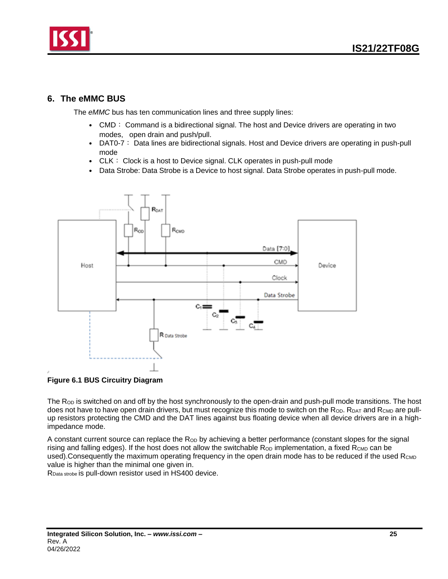

### <span id="page-24-0"></span>**6. The eMMC BUS**

The *eMMC* bus has ten communication lines and three supply lines:

- CMD: Command is a bidirectional signal. The host and Device drivers are operating in two modes, open drain and push/pull.
- DAT0-7: Data lines are bidirectional signals. Host and Device drivers are operating in push-pull mode
- CLK: Clock is a host to Device signal. CLK operates in push-pull mode
- Data Strobe: Data Strobe is a Device to host signal. Data Strobe operates in push-pull mode.



**Figure 6.1 BUS Circuitry Diagram**

The  $R<sub>OD</sub>$  is switched on and off by the host synchronously to the open-drain and push-pull mode transitions. The host does not have to have open drain drivers, but must recognize this mode to switch on the Rop. RDAT and RCMD are pullup resistors protecting the CMD and the DAT lines against bus floating device when all device drivers are in a highimpedance mode.

A constant current source can replace the R<sub>OD</sub> by achieving a better performance (constant slopes for the signal rising and falling edges). If the host does not allow the switchable  $R_{OD}$  implementation, a fixed  $R_{CMD}$  can be used). Consequently the maximum operating frequency in the open drain mode has to be reduced if the used  $R_{\text{CMD}}$ value is higher than the minimal one given in.

RData strobe is pull-down resistor used in HS400 device.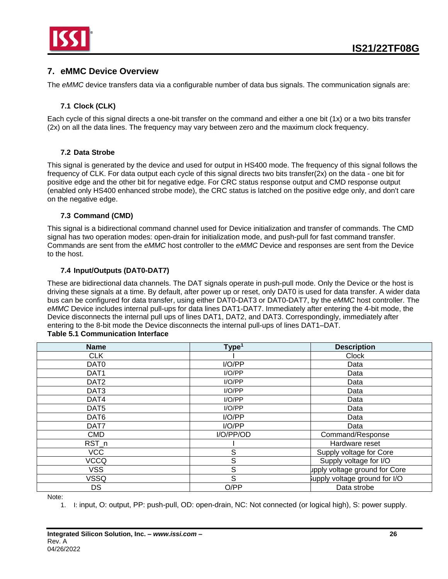

### <span id="page-25-0"></span>**7. eMMC Device Overview**

The *eMMC* device transfers data via a configurable number of data bus signals. The communication signals are:

### **7.1 Clock (CLK)**

<span id="page-25-1"></span>Each cycle of this signal directs a one-bit transfer on the command and either a one bit (1x) or a two bits transfer (2x) on all the data lines. The frequency may vary between zero and the maximum clock frequency.

### **7.2 Data Strobe**

<span id="page-25-2"></span>This signal is generated by the device and used for output in HS400 mode. The frequency of this signal follows the frequency of CLK. For data output each cycle of this signal directs two bits transfer(2x) on the data - one bit for positive edge and the other bit for negative edge. For CRC status response output and CMD response output (enabled only HS400 enhanced strobe mode), the CRC status is latched on the positive edge only, and don't care on the negative edge.

### **7.3 Command (CMD)**

<span id="page-25-3"></span>This signal is a bidirectional command channel used for Device initialization and transfer of commands. The CMD signal has two operation modes: open-drain for initialization mode, and push-pull for fast command transfer. Commands are sent from the *eMMC* host controller to the *eMMC* Device and responses are sent from the Device to the host.

#### **7.4 Input/Outputs (DAT0-DAT7)**

<span id="page-25-4"></span>These are bidirectional data channels. The DAT signals operate in push-pull mode. Only the Device or the host is driving these signals at a time. By default, after power up or reset, only DAT0 is used for data transfer. A wider data bus can be configured for data transfer, using either DAT0-DAT3 or DAT0-DAT7, by the *eMMC* host controller. The *eMMC* Device includes internal pull-ups for data lines DAT1-DAT7. Immediately after entering the 4-bit mode, the Device disconnects the internal pull ups of lines DAT1, DAT2, and DAT3. Correspondingly, immediately after entering to the 8-bit mode the Device disconnects the internal pull-ups of lines DAT1–DAT.

#### **Table 5.1 Communication Interface**

| <b>Name</b>      | Type <sup>1</sup> | <b>Description</b>            |  |
|------------------|-------------------|-------------------------------|--|
| <b>CLK</b>       |                   | Clock                         |  |
| DAT <sub>0</sub> | I/O/PP            | Data                          |  |
| DAT1             | I/O/PP            | Data                          |  |
| DAT <sub>2</sub> | I/O/PP            | Data                          |  |
| DAT <sub>3</sub> | I/O/PP            | Data                          |  |
| DAT4             | I/O/PP            | Data                          |  |
| DAT <sub>5</sub> | I/O/PP            | Data                          |  |
| DAT6             | I/O/PP            | Data                          |  |
| DAT7             | I/O/PP            | Data                          |  |
| <b>CMD</b>       | I/O/PP/OD         | Command/Response              |  |
| RST_n            |                   | Hardware reset                |  |
| <b>VCC</b>       | S                 | Supply voltage for Core       |  |
| <b>VCCQ</b>      | S                 | Supply voltage for I/O        |  |
| <b>VSS</b>       | S                 | upply voltage ground for Core |  |
| VSSQ             | S                 | supply voltage ground for I/O |  |
| DS               | O/PP              | Data strobe                   |  |

Note:

1. I: input, O: output, PP: push-pull, OD: open-drain, NC: Not connected (or logical high), S: power supply.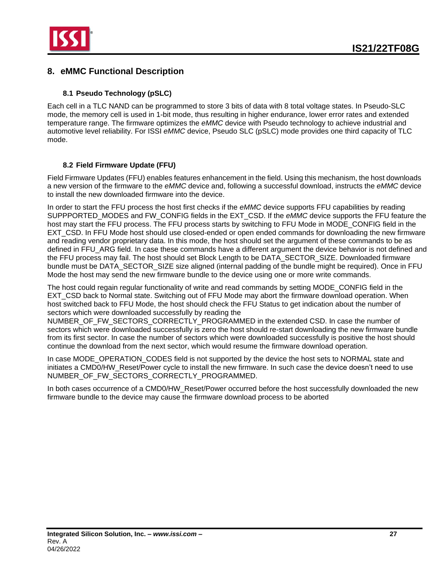

### <span id="page-26-0"></span>**8. eMMC Functional Description**

### **8.1 Pseudo Technology (pSLC)**

<span id="page-26-1"></span>Each cell in a TLC NAND can be programmed to store 3 bits of data with 8 total voltage states. In Pseudo-SLC mode, the memory cell is used in 1-bit mode, thus resulting in higher endurance, lower error rates and extended temperature range. The firmware optimizes the *eMMC* device with Pseudo technology to achieve industrial and automotive level reliability. For ISSI *eMMC* device, Pseudo SLC (pSLC) mode provides one third capacity of TLC mode.

### **8.2 Field Firmware Update (FFU)**

<span id="page-26-2"></span>Field Firmware Updates (FFU) enables features enhancement in the field. Using this mechanism, the host downloads a new version of the firmware to the *eMMC* device and, following a successful download, instructs the *eMMC* device to install the new downloaded firmware into the device.

In order to start the FFU process the host first checks if the *eMMC* device supports FFU capabilities by reading SUPPPORTED\_MODES and FW\_CONFIG fields in the EXT\_CSD. If the *eMMC* device supports the FFU feature the host may start the FFU process. The FFU process starts by switching to FFU Mode in MODE\_CONFIG field in the EXT\_CSD. In FFU Mode host should use closed-ended or open ended commands for downloading the new firmware and reading vendor proprietary data. In this mode, the host should set the argument of these commands to be as defined in FFU\_ARG field. In case these commands have a different argument the device behavior is not defined and the FFU process may fail. The host should set Block Length to be DATA\_SECTOR\_SIZE. Downloaded firmware bundle must be DATA\_SECTOR\_SIZE size aligned (internal padding of the bundle might be required). Once in FFU Mode the host may send the new firmware bundle to the device using one or more write commands.

The host could regain regular functionality of write and read commands by setting MODE\_CONFIG field in the EXT CSD back to Normal state. Switching out of FFU Mode may abort the firmware download operation. When host switched back to FFU Mode, the host should check the FFU Status to get indication about the number of sectors which were downloaded successfully by reading the

NUMBER\_OF\_FW\_SECTORS\_CORRECTLY\_PROGRAMMED in the extended CSD. In case the number of sectors which were downloaded successfully is zero the host should re-start downloading the new firmware bundle from its first sector. In case the number of sectors which were downloaded successfully is positive the host should continue the download from the next sector, which would resume the firmware download operation.

In case MODE\_OPERATION\_CODES field is not supported by the device the host sets to NORMAL state and initiates a CMD0/HW\_Reset/Power cycle to install the new firmware. In such case the device doesn't need to use NUMBER OF FW SECTORS CORRECTLY PROGRAMMED.

In both cases occurrence of a CMD0/HW\_Reset/Power occurred before the host successfully downloaded the new firmware bundle to the device may cause the firmware download process to be aborted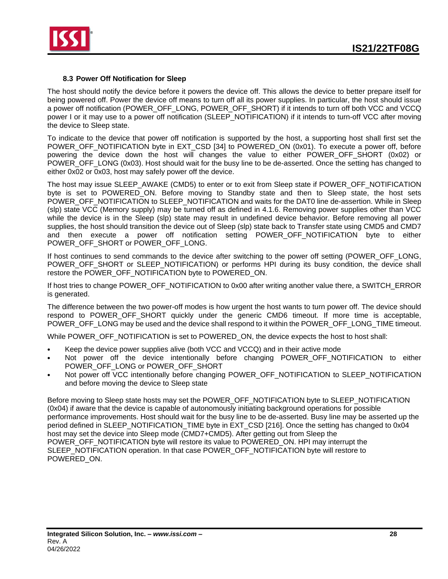

#### **8.3 Power Off Notification for Sleep**

<span id="page-27-0"></span>The host should notify the device before it powers the device off. This allows the device to better prepare itself for being powered off. Power the device off means to turn off all its power supplies. In particular, the host should issue a power off notification (POWER\_OFF\_LONG, POWER\_OFF\_SHORT) if it intends to turn off both VCC and VCCQ power I or it may use to a power off notification (SLEEP\_NOTIFICATION) if it intends to turn-off VCC after moving the device to Sleep state.

To indicate to the device that power off notification is supported by the host, a supporting host shall first set the POWER\_OFF\_NOTIFICATION byte in EXT\_CSD [34] to POWERED\_ON (0x01). To execute a power off, before powering the device down the host will changes the value to either POWER\_OFF\_SHORT (0x02) or POWER\_OFF\_LONG (0x03). Host should wait for the busy line to be de-asserted. Once the setting has changed to either 0x02 or 0x03, host may safely power off the device.

The host may issue SLEEP\_AWAKE (CMD5) to enter or to exit from Sleep state if POWER\_OFF\_NOTIFICATION byte is set to POWERED\_ON. Before moving to Standby state and then to Sleep state, the host sets POWER\_OFF\_NOTIFICATION to SLEEP\_NOTIFICATION and waits for the DAT0 line de-assertion. While in Sleep (slp) state VCC (Memory supply) may be turned off as defined in 4.1.6. Removing power supplies other than VCC while the device is in the Sleep (slp) state may result in undefined device behavior. Before removing all power supplies, the host should transition the device out of Sleep (slp) state back to Transfer state using CMD5 and CMD7 and then execute a power off notification setting POWER\_OFF\_NOTIFICATION byte to either POWER\_OFF\_SHORT or POWER\_OFF\_LONG.

If host continues to send commands to the device after switching to the power off setting (POWER\_OFF\_LONG, POWER\_OFF\_SHORT or SLEEP\_NOTIFICATION) or performs HPI during its busy condition, the device shall restore the POWER\_OFF\_NOTIFICATION byte to POWERED\_ON.

If host tries to change POWER\_OFF\_NOTIFICATION to 0x00 after writing another value there, a SWITCH\_ERROR is generated.

The difference between the two power-off modes is how urgent the host wants to turn power off. The device should respond to POWER OFF SHORT quickly under the generic CMD6 timeout. If more time is acceptable, POWER\_OFF\_LONG may be used and the device shall respond to it within the POWER\_OFF\_LONG\_TIME timeout.

While POWER\_OFF\_NOTIFICATION is set to POWERED\_ON, the device expects the host to host shall:

- Keep the device power supplies alive (both VCC and VCCQ) and in their active mode
- Not power off the device intentionally before changing POWER\_OFF\_NOTIFICATION to either POWER\_OFF\_LONG or POWER\_OFF\_SHORT
- Not power off VCC intentionally before changing POWER\_OFF\_NOTIFICATION to SLEEP\_NOTIFICATION and before moving the device to Sleep state

Before moving to Sleep state hosts may set the POWER\_OFF\_NOTIFICATION byte to SLEEP\_NOTIFICATION (0x04) if aware that the device is capable of autonomously initiating background operations for possible performance improvements. Host should wait for the busy line to be de-asserted. Busy line may be asserted up the period defined in SLEEP\_NOTIFICATION\_TIME byte in EXT\_CSD [216]. Once the setting has changed to 0x04 host may set the device into Sleep mode (CMD7+CMD5). After getting out from Sleep the POWER\_OFF\_NOTIFICATION byte will restore its value to POWERED\_ON. HPI may interrupt the SLEEP\_NOTIFICATION operation. In that case POWER\_OFF\_NOTIFICATION byte will restore to POWERED\_ON.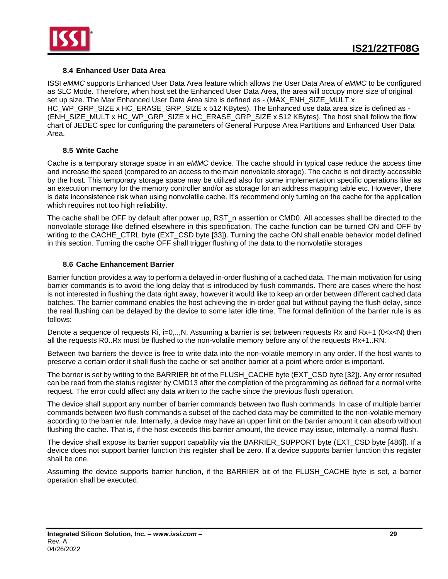

### **8.4 Enhanced User Data Area**

<span id="page-28-0"></span>ISSI *eMMC* supports Enhanced User Data Area feature which allows the User Data Area of *eMMC* to be configured as SLC Mode. Therefore, when host set the Enhanced User Data Area, the area will occupy more size of original set up size. The Max Enhanced User Data Area size is defined as - (MAX\_ENH\_SIZE\_MULT x HC\_WP\_GRP\_SIZE x HC\_ERASE\_GRP\_SIZE x 512 KBytes). The Enhanced use data area size is defined as - (ENH\_SIZE\_MULT x HC\_WP\_GRP\_SIZE x HC\_ERASE\_GRP\_SIZE x 512 KBytes). The host shall follow the flow chart of JEDEC spec for configuring the parameters of General Purpose Area Partitions and Enhanced User Data Area.

### **8.5 Write Cache**

<span id="page-28-1"></span>Cache is a temporary storage space in an *eMMC* device. The cache should in typical case reduce the access time and increase the speed (compared to an access to the main nonvolatile storage). The cache is not directly accessible by the host. This temporary storage space may be utilized also for some implementation specific operations like as an execution memory for the memory controller and/or as storage for an address mapping table etc. However, there is data inconsistence risk when using nonvolatile cache. It's recommend only turning on the cache for the application which requires not too high reliability.

The cache shall be OFF by default after power up, RST\_n assertion or CMD0. All accesses shall be directed to the nonvolatile storage like defined elsewhere in this specification. The cache function can be turned ON and OFF by writing to the CACHE\_CTRL byte (EXT\_CSD byte [33]). Turning the cache ON shall enable behavior model defined in this section. Turning the cache OFF shall trigger flushing of the data to the nonvolatile storages

### **8.6 Cache Enhancement Barrier**

<span id="page-28-2"></span>Barrier function provides a way to perform a delayed in-order flushing of a cached data. The main motivation for using barrier commands is to avoid the long delay that is introduced by flush commands. There are cases where the host is not interested in flushing the data right away, however it would like to keep an order between different cached data batches. The barrier command enables the host achieving the in-order goal but without paying the flush delay, since the real flushing can be delayed by the device to some later idle time. The formal definition of the barrier rule is as follows:

Denote a sequence of requests Ri, i=0,..,N. Assuming a barrier is set between requests Rx and Rx+1 (0<x<N) then all the requests R0..Rx must be flushed to the non-volatile memory before any of the requests Rx+1..RN.

Between two barriers the device is free to write data into the non-volatile memory in any order. If the host wants to preserve a certain order it shall flush the cache or set another barrier at a point where order is important.

The barrier is set by writing to the BARRIER bit of the FLUSH\_CACHE byte (EXT\_CSD byte [32]). Any error resulted can be read from the status register by CMD13 after the completion of the programming as defined for a normal write request. The error could affect any data written to the cache since the previous flush operation.

The device shall support any number of barrier commands between two flush commands. In case of multiple barrier commands between two flush commands a subset of the cached data may be committed to the non-volatile memory according to the barrier rule. Internally, a device may have an upper limit on the barrier amount it can absorb without flushing the cache. That is, if the host exceeds this barrier amount, the device may issue, internally, a normal flush.

The device shall expose its barrier support capability via the BARRIER\_SUPPORT byte (EXT\_CSD byte [486]). If a device does not support barrier function this register shall be zero. If a device supports barrier function this register shall be one.

Assuming the device supports barrier function, if the BARRIER bit of the FLUSH\_CACHE byte is set, a barrier operation shall be executed.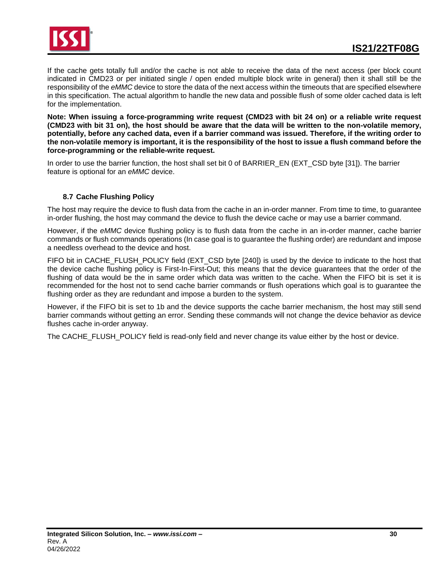

If the cache gets totally full and/or the cache is not able to receive the data of the next access (per block count indicated in CMD23 or per initiated single / open ended multiple block write in general) then it shall still be the responsibility of the *eMMC* device to store the data of the next access within the timeouts that are specified elsewhere in this specification. The actual algorithm to handle the new data and possible flush of some older cached data is left for the implementation.

**Note: When issuing a force-programming write request (CMD23 with bit 24 on) or a reliable write request (CMD23 with bit 31 on), the host should be aware that the data will be written to the non-volatile memory, potentially, before any cached data, even if a barrier command was issued. Therefore, if the writing order to the non-volatile memory is important, it is the responsibility of the host to issue a flush command before the force-programming or the reliable-write request.**

In order to use the barrier function, the host shall set bit 0 of BARRIER\_EN (EXT\_CSD byte [31]). The barrier feature is optional for an *eMMC* device.

### **8.7 Cache Flushing Policy**

<span id="page-29-0"></span>The host may require the device to flush data from the cache in an in-order manner. From time to time, to guarantee in-order flushing, the host may command the device to flush the device cache or may use a barrier command.

However, if the *eMMC* device flushing policy is to flush data from the cache in an in-order manner, cache barrier commands or flush commands operations (In case goal is to guarantee the flushing order) are redundant and impose a needless overhead to the device and host.

FIFO bit in CACHE\_FLUSH\_POLICY field (EXT\_CSD byte [240]) is used by the device to indicate to the host that the device cache flushing policy is First-In-First-Out; this means that the device guarantees that the order of the flushing of data would be the in same order which data was written to the cache. When the FIFO bit is set it is recommended for the host not to send cache barrier commands or flush operations which goal is to guarantee the flushing order as they are redundant and impose a burden to the system.

However, if the FIFO bit is set to 1b and the device supports the cache barrier mechanism, the host may still send barrier commands without getting an error. Sending these commands will not change the device behavior as device flushes cache in-order anyway.

The CACHE\_FLUSH\_POLICY field is read-only field and never change its value either by the host or device.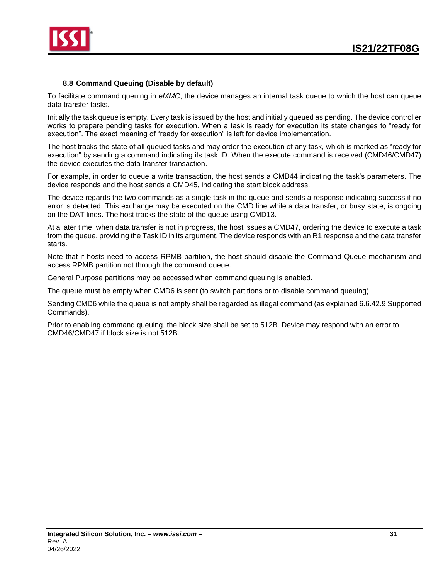

### **8.8 Command Queuing (Disable by default)**

<span id="page-30-0"></span>To facilitate command queuing in *eMMC*, the device manages an internal task queue to which the host can queue data transfer tasks.

Initially the task queue is empty. Every task is issued by the host and initially queued as pending. The device controller works to prepare pending tasks for execution. When a task is ready for execution its state changes to "ready for execution". The exact meaning of "ready for execution" is left for device implementation.

The host tracks the state of all queued tasks and may order the execution of any task, which is marked as "ready for execution" by sending a command indicating its task ID. When the execute command is received (CMD46/CMD47) the device executes the data transfer transaction.

For example, in order to queue a write transaction, the host sends a CMD44 indicating the task's parameters. The device responds and the host sends a CMD45, indicating the start block address.

The device regards the two commands as a single task in the queue and sends a response indicating success if no error is detected. This exchange may be executed on the CMD line while a data transfer, or busy state, is ongoing on the DAT lines. The host tracks the state of the queue using CMD13.

At a later time, when data transfer is not in progress, the host issues a CMD47, ordering the device to execute a task from the queue, providing the Task ID in its argument. The device responds with an R1 response and the data transfer starts.

Note that if hosts need to access RPMB partition, the host should disable the Command Queue mechanism and access RPMB partition not through the command queue.

General Purpose partitions may be accessed when command queuing is enabled.

The queue must be empty when CMD6 is sent (to switch partitions or to disable command queuing).

Sending CMD6 while the queue is not empty shall be regarded as illegal command (as explained 6.6.42.9 Supported Commands).

Prior to enabling command queuing, the block size shall be set to 512B. Device may respond with an error to CMD46/CMD47 if block size is not 512B.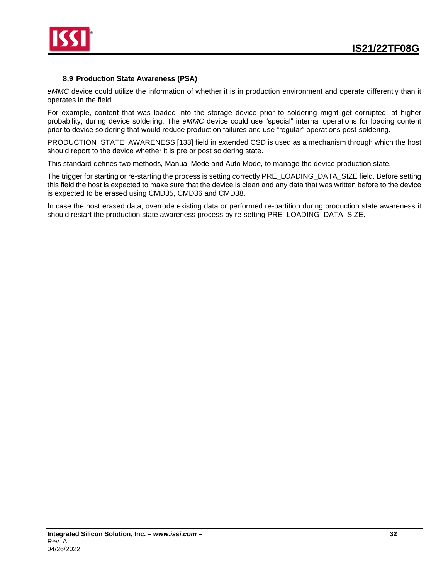

### **8.9 Production State Awareness (PSA)**

<span id="page-31-0"></span>*eMMC* device could utilize the information of whether it is in production environment and operate differently than it operates in the field.

For example, content that was loaded into the storage device prior to soldering might get corrupted, at higher probability, during device soldering. The *eMMC* device could use "special" internal operations for loading content prior to device soldering that would reduce production failures and use "regular" operations post-soldering.

PRODUCTION\_STATE\_AWARENESS [133] field in extended CSD is used as a mechanism through which the host should report to the device whether it is pre or post soldering state.

This standard defines two methods, Manual Mode and Auto Mode, to manage the device production state.

The trigger for starting or re-starting the process is setting correctly PRE\_LOADING\_DATA\_SIZE field. Before setting this field the host is expected to make sure that the device is clean and any data that was written before to the device is expected to be erased using CMD35, CMD36 and CMD38.

In case the host erased data, overrode existing data or performed re-partition during production state awareness it should restart the production state awareness process by re-setting PRE\_LOADING\_DATA\_SIZE.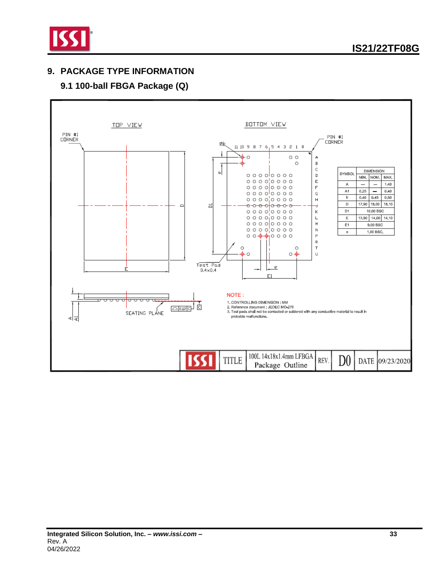

## <span id="page-32-0"></span>**9. PACKAGE TYPE INFORMATION**

# **9.1 100-ball FBGA Package (Q)**

<span id="page-32-1"></span>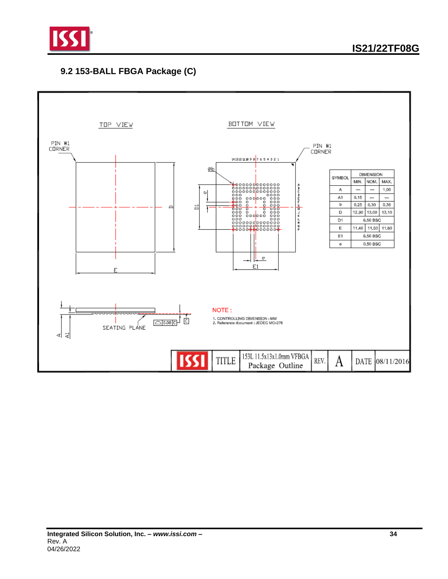

## <span id="page-33-0"></span>**9.2 153-BALL FBGA Package (C)**

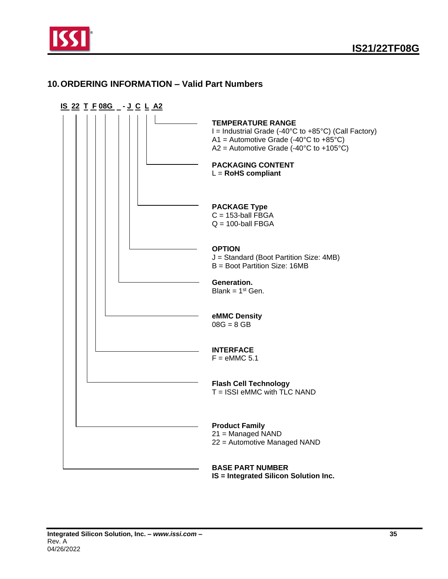

### <span id="page-34-0"></span>**10.ORDERING INFORMATION – Valid Part Numbers**